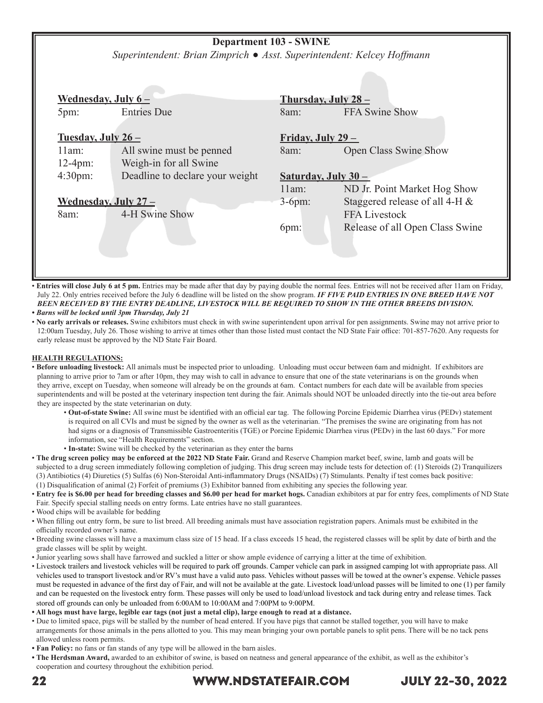### **Department 103 - SWINE**

*Superintendent: Brian Zimprich Asst. Superintendent: Kelcey Hoffmann*

| Wednesday, July $6-$   |                                 | Thursday, July $28-$      |                                 |  |  |
|------------------------|---------------------------------|---------------------------|---------------------------------|--|--|
| 5pm:                   | <b>Entries Due</b>              | 8am:                      | FFA Swine Show                  |  |  |
| Tuesday, July $26-$    |                                 | <u>Friday, July 29 – </u> |                                 |  |  |
| 11am:                  | All swine must be penned        | 8am:                      | <b>Open Class Swine Show</b>    |  |  |
| $12-4pm:$              | Weigh-in for all Swine          |                           |                                 |  |  |
| $4:30 \text{pm}$ :     | Deadline to declare your weight |                           | Saturday, July 30 -             |  |  |
|                        |                                 | 11am:                     | ND Jr. Point Market Hog Show    |  |  |
| Wednesday, July $27 -$ |                                 | $3-6pm:$                  | Staggered release of all 4-H &  |  |  |
| 8am:                   | 4-H Swine Show                  |                           | <b>FFA Livestock</b>            |  |  |
|                        |                                 | 6pm:                      | Release of all Open Class Swine |  |  |
|                        |                                 |                           |                                 |  |  |
|                        |                                 |                           |                                 |  |  |
|                        |                                 |                           |                                 |  |  |
|                        |                                 |                           |                                 |  |  |

• **Entries will close July 6 at 5 pm.** Entries may be made after that day by paying double the normal fees. Entries will not be received after 11am on Friday, July 22. Only entries received before the July 6 deadline will be listed on the show program. *IF FIVE PAID ENTRIES IN ONE BREED HAVE NOT BEEN RECEIVED BY THE ENTRY DEADLINE, LIVESTOCK WILL BE REQUIRED TO SHOW IN THE OTHER BREEDS DIVISION.*

*• Barns will be locked until 3pm Thursday, July 21*

• **No early arrivals or releases.** Swine exhibitors must check in with swine superintendent upon arrival for pen assignments. Swine may not arrive prior to 12:00am Tuesday, July 26. Those wishing to arrive at times other than those listed must contact the ND State Fair office: 701-857-7620. Any requests for early release must be approved by the ND State Fair Board.

#### **HEALTH REGULATIONS:**

- **Before unloading livestock:** All animals must be inspected prior to unloading. Unloading must occur between 6am and midnight. If exhibitors are planning to arrive prior to 7am or after 10pm, they may wish to call in advance to ensure that one of the state veterinarians is on the grounds when they arrive, except on Tuesday, when someone will already be on the grounds at 6am. Contact numbers for each date will be available from species superintendents and will be posted at the veterinary inspection tent during the fair. Animals should NOT be unloaded directly into the tie-out area before they are inspected by the state veterinarian on duty.
	- **Out-of-state Swine:** All swine must be identified with an official ear tag. The following Porcine Epidemic Diarrhea virus (PEDv) statement is required on all CVIs and must be signed by the owner as well as the veterinarian. "The premises the swine are originating from has not had signs or a diagnosis of Transmissible Gastroenteritis (TGE) or Porcine Epidemic Diarrhea virus (PEDv) in the last 60 days." For more information, see "Health Requirements" section.
	- • **In-state:** Swine will be checked by the veterinarian as they enter the barns
- **The drug screen policy may be enforced at the 2022 ND State Fair.** Grand and Reserve Champion market beef, swine, lamb and goats will be subjected to a drug screen immediately following completion of judging. This drug screen may include tests for detection of: (1) Steroids (2) Tranquilizers (3) Antibiotics (4) Diuretics (5) Sulfas (6) Non-Steroidal Anti-inflammatory Drugs (NSAIDs) (7) Stimulants. Penalty if test comes back positive: (1) Disqualification of animal (2) Forfeit of premiums (3) Exhibitor banned from exhibiting any species the following year.
- **Entry fee is \$6.00 per head for breeding classes and \$6.00 per head for market hogs.** Canadian exhibitors at par for entry fees, compliments of ND State Fair. Specify special stalling needs on entry forms. Late entries have no stall guarantees.
- Wood chips will be available for bedding
- When filling out entry form, be sure to list breed. All breeding animals must have association registration papers. Animals must be exhibited in the officially recorded owner's name.
- Breeding swine classes will have a maximum class size of 15 head. If a class exceeds 15 head, the registered classes will be split by date of birth and the grade classes will be split by weight.
- Junior yearling sows shall have farrowed and suckled a litter or show ample evidence of carrying a litter at the time of exhibition.
- Livestock trailers and livestock vehicles will be required to park off grounds. Camper vehicle can park in assigned camping lot with appropriate pass. All vehicles used to transport livestock and/or RV's must have a valid auto pass. Vehicles without passes will be towed at the owner's expense. Vehicle passes must be requested in advance of the first day of Fair, and will not be available at the gate. Livestock load/unload passes will be limited to one (1) per family and can be requested on the livestock entry form. These passes will only be used to load/unload livestock and tack during entry and release times. Tack stored off grounds can only be unloaded from 6:00AM to 10:00AM and 7:00PM to 9:00PM.
- **All hogs must have large, legible ear tags (not just a metal clip), large enough to read at a distance.**
- Due to limited space, pigs will be stalled by the number of head entered. If you have pigs that cannot be stalled together, you will have to make arrangements for those animals in the pens allotted to you. This may mean bringing your own portable panels to split pens. There will be no tack pens allowed unless room permits.
- **Fan Policy:** no fans or fan stands of any type will be allowed in the barn aisles.
- **The Herdsman Award,** awarded to an exhibitor of swine, is based on neatness and general appearance of the exhibit, as well as the exhibitor's cooperation and courtesy throughout the exhibition period.

### 22 WWW.NDSTATEFAIR.COM JULY 22-30, 2022

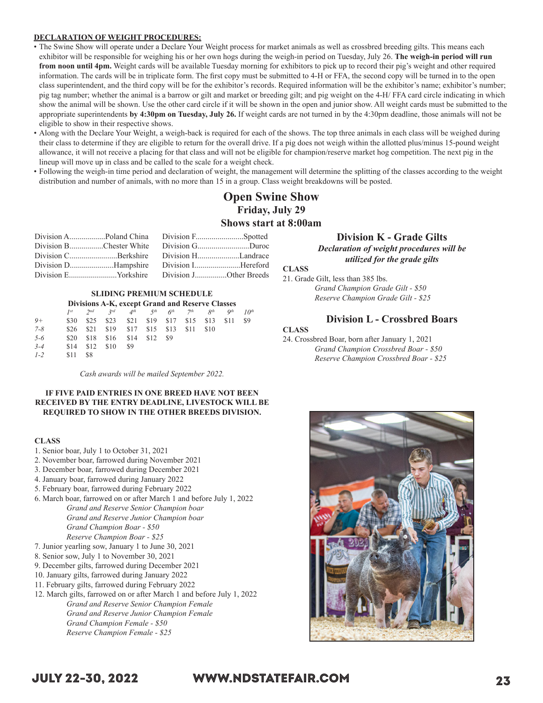#### **DECLARATION OF WEIGHT PROCEDURES:**

- The Swine Show will operate under a Declare Your Weight process for market animals as well as crossbred breeding gilts. This means each exhibitor will be responsible for weighing his or her own hogs during the weigh-in period on Tuesday, July 26. **The weigh-in period will run from noon until 4pm.** Weight cards will be available Tuesday morning for exhibitors to pick up to record their pig's weight and other required information. The cards will be in triplicate form. The first copy must be submitted to 4-H or FFA, the second copy will be turned in to the open class superintendent, and the third copy will be for the exhibitor's records. Required information will be the exhibitor's name; exhibitor's number; pig tag number; whether the animal is a barrow or gilt and market or breeding gilt; and pig weight on the 4-H/ FFA card circle indicating in which show the animal will be shown. Use the other card circle if it will be shown in the open and junior show. All weight cards must be submitted to the appropriate superintendents **by 4:30pm on Tuesday, July 26.** If weight cards are not turned in by the 4:30pm deadline, those animals will not be eligible to show in their respective shows.
- Along with the Declare Your Weight, a weigh-back is required for each of the shows. The top three animals in each class will be weighed during their class to determine if they are eligible to return for the overall drive. If a pig does not weigh within the allotted plus/minus 15-pound weight allowance, it will not receive a placing for that class and will not be eligible for champion/reserve market hog competition. The next pig in the lineup will move up in class and be called to the scale for a weight check.
- Following the weigh-in time period and declaration of weight, the management will determine the splitting of the classes according to the weight distribution and number of animals, with no more than 15 in a group. Class weight breakdowns will be posted.

### **Open Swine Show Friday, July 29 Shows start at 8:00am**

|  | Division CBerkshire Division HLandrace     |
|--|--------------------------------------------|
|  |                                            |
|  | Division EYorkshire Division JOther Breeds |

## **SLIDING PREMIUM SCHEDULE**

|         | Divisions A-K, except Grand and Reserve Classes |                   |             |                          |      |                                          |                 |                    |                 |                  |
|---------|-------------------------------------------------|-------------------|-------------|--------------------------|------|------------------------------------------|-----------------|--------------------|-----------------|------------------|
|         | 1st                                             | $2^{nd}$ $2^{rd}$ |             |                          |      | $4^{th}$ 5 <sup>th</sup> 6 <sup>th</sup> | 7 <sup>th</sup> | $\mathcal{R}^{th}$ | Q <sup>th</sup> | 10 <sup>th</sup> |
| $9+$    | \$30                                            | \$25              |             | \$23 \$21 \$19 \$17 \$15 |      |                                          |                 | \$13               | \$11            | \$9              |
| $7 - 8$ | \$26                                            | \$21              |             | \$19 \$17 \$15           |      | \$13                                     | \$11            | \$10               |                 |                  |
| $5 - 6$ | \$20                                            | \$18              | $$16$ $$14$ |                          | \$12 | - \$9                                    |                 |                    |                 |                  |
| $3 - 4$ | \$14                                            | \$12              | \$10        | \$9                      |      |                                          |                 |                    |                 |                  |
| $1 - 2$ | \$11                                            | \$8               |             |                          |      |                                          |                 |                    |                 |                  |

*Cash awards will be mailed September 2022.*

#### **IF FIVE PAID ENTRIES IN ONE BREED HAVE NOT BEEN RECEIVED BY THE ENTRY DEADLINE, LIVESTOCK WILL BE REQUIRED TO SHOW IN THE OTHER BREEDS DIVISION.**

#### **CLASS**

- 1. Senior boar, July 1 to October 31, 2021
- 2. November boar, farrowed during November 2021
- 3. December boar, farrowed during December 2021
- 4. January boar, farrowed during January 2022
- 5. February boar, farrowed during February 2022
- 6. March boar, farrowed on or after March 1 and before July 1, 2022 *Grand and Reserve Senior Champion boar Grand and Reserve Junior Champion boar Grand Champion Boar - \$50 Reserve Champion Boar - \$25*
- 7. Junior yearling sow, January 1 to June 30, 2021
- 8. Senior sow, July 1 to November 30, 2021
- 9. December gilts, farrowed during December 2021
- 10. January gilts, farrowed during January 2022
- 11. February gilts, farrowed during February 2022
- 12. March gilts, farrowed on or after March 1 and before July 1, 2022 *Grand and Reserve Senior Champion Female Grand and Reserve Junior Champion Female Grand Champion Female - \$50 Reserve Champion Female - \$25*

### **Division K - Grade Gilts**

*Declaration of weight procedures will be utilized for the grade gilts*

### **CLASS**

21. Grade Gilt, less than 385 lbs. *Grand Champion Grade Gilt - \$50 Reserve Champion Grade Gilt - \$25*

#### **Division L - Crossbred Boars**

#### **CLASS**

24. Crossbred Boar, born after January 1, 2021 *Grand Champion Crossbred Boar - \$50 Reserve Champion Crossbred Boar - \$25*



### JULY 22-30, 2022 WWW.NDSTATEFAIR.COM 23